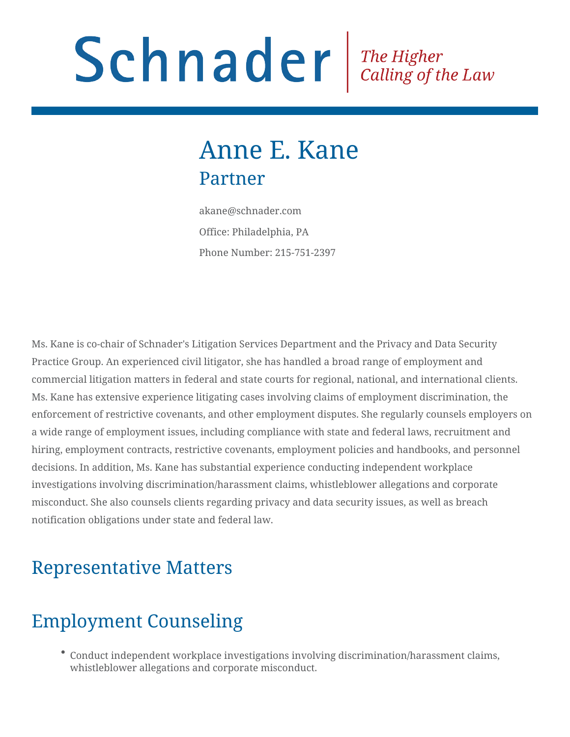# Schnader Fine Higher Calling of the Law

# Anne E. Kane Partner

akane@schnader.com Office: Philadelphia, PA Phone Number: 215-751-2397

Ms. Kane is co-chair of Schnader's Litigation Services Department and the Privacy and Data Security Practice Group. An experienced civil litigator, she has handled a broad range of employment and commercial litigation matters in federal and state courts for regional, national, and international clients. Ms. Kane has extensive experience litigating cases involving claims of employment discrimination, the enforcement of restrictive covenants, and other employment disputes. She regularly counsels employers on a wide range of employment issues, including compliance with state and federal laws, recruitment and hiring, employment contracts, restrictive covenants, employment policies and handbooks, and personnel decisions. In addition, Ms. Kane has substantial experience conducting independent workplace investigations involving discrimination/harassment claims, whistleblower allegations and corporate misconduct. She also counsels clients regarding privacy and data security issues, as well as breach notification obligations under state and federal law.

#### Representative Matters

#### Employment Counseling

Conduct independent workplace investigations involving discrimination/harassment claims, whistleblower allegations and corporate misconduct.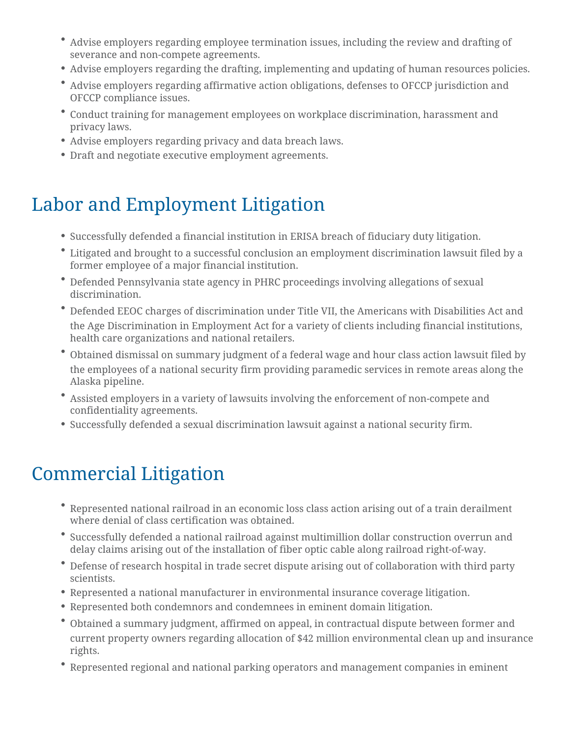- Advise employers regarding employee termination issues, including the review and drafting of severance and non-compete agreements.
- Advise employers regarding the drafting, implementing and updating of human resources policies.
- Advise employers regarding affirmative action obligations, defenses to OFCCP jurisdiction and OFCCP compliance issues.
- Conduct training for management employees on workplace discrimination, harassment and privacy laws.
- Advise employers regarding privacy and data breach laws.
- Draft and negotiate executive employment agreements.

# Labor and Employment Litigation

- Successfully defended a financial institution in ERISA breach of fiduciary duty litigation.
- Litigated and brought to a successful conclusion an employment discrimination lawsuit filed by a former employee of a major financial institution.
- Defended Pennsylvania state agency in PHRC proceedings involving allegations of sexual discrimination.
- Defended EEOC charges of discrimination under Title VII, the Americans with Disabilities Act and the Age Discrimination in Employment Act for a variety of clients including financial institutions, health care organizations and national retailers.
- Obtained dismissal on summary judgment of a federal wage and hour class action lawsuit filed by the employees of a national security firm providing paramedic services in remote areas along the Alaska pipeline.
- Assisted employers in a variety of lawsuits involving the enforcement of non-compete and confidentiality agreements.
- Successfully defended a sexual discrimination lawsuit against a national security firm.

# Commercial Litigation

- Represented national railroad in an economic loss class action arising out of a train derailment where denial of class certification was obtained.
- Successfully defended a national railroad against multimillion dollar construction overrun and delay claims arising out of the installation of fiber optic cable along railroad right-of-way.
- Defense of research hospital in trade secret dispute arising out of collaboration with third party scientists.
- Represented a national manufacturer in environmental insurance coverage litigation.
- Represented both condemnors and condemnees in eminent domain litigation.
- Obtained a summary judgment, affirmed on appeal, in contractual dispute between former and current property owners regarding allocation of \$42 million environmental clean up and insurance rights.
- Represented regional and national parking operators and management companies in eminent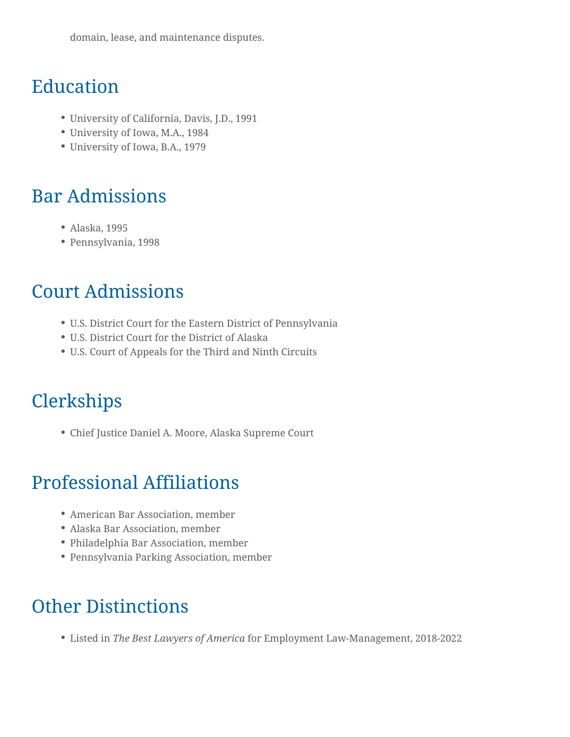domain, lease, and maintenance disputes.

#### Education

- University of California, Davis, J.D., 1991
- University of Iowa, M.A., 1984
- University of Iowa, B.A., 1979

#### Bar Admissions

- Alaska, 1995
- Pennsylvania, 1998

#### Court Admissions

- U.S. District Court for the Eastern District of Pennsylvania
- U.S. District Court for the District of Alaska
- U.S. Court of Appeals for the Third and Ninth Circuits

# **Clerkships**

Chief Justice Daniel A. Moore, Alaska Supreme Court

# Professional Affiliations

- American Bar Association, member
- Alaska Bar Association, member
- Philadelphia Bar Association, member
- Pennsylvania Parking Association, member

#### Other Distinctions

Listed in *The Best Lawyers of America* for Employment Law-Management, 2018-2022